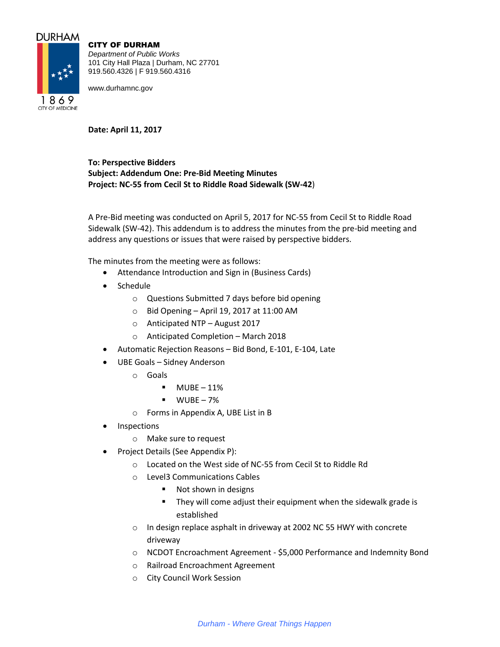# **DURHAM**

1869 **CITY OF MEDICINE** 



*Department of Public Works* 101 City Hall Plaza | Durham, NC 27701 919.560.4326 | F 919.560.4316

www.durhamnc.gov

**Date: April 11, 2017**

**To: Perspective Bidders Subject: Addendum One: Pre-Bid Meeting Minutes Project: NC-55 from Cecil St to Riddle Road Sidewalk (SW-42**)

A Pre-Bid meeting was conducted on April 5, 2017 for NC-55 from Cecil St to Riddle Road Sidewalk (SW-42). This addendum is to address the minutes from the pre-bid meeting and address any questions or issues that were raised by perspective bidders.

The minutes from the meeting were as follows:

- Attendance Introduction and Sign in (Business Cards)
- Schedule
	- o Questions Submitted 7 days before bid opening
	- $\circ$  Bid Opening April 19, 2017 at 11:00 AM
	- o Anticipated NTP August 2017
	- o Anticipated Completion March 2018
- Automatic Rejection Reasons Bid Bond, E-101, E-104, Late
- UBE Goals Sidney Anderson
	- o Goals
		- $-MUBE 11%$
		- $WUBE 7%$
	- o Forms in Appendix A, UBE List in B
- Inspections
	- o Make sure to request
- Project Details (See Appendix P):
	- o Located on the West side of NC-55 from Cecil St to Riddle Rd
	- o Level3 Communications Cables
		- Not shown in designs
		- **They will come adjust their equipment when the sidewalk grade is** established
	- o In design replace asphalt in driveway at 2002 NC 55 HWY with concrete driveway
	- o NCDOT Encroachment Agreement \$5,000 Performance and Indemnity Bond
	- o Railroad Encroachment Agreement
	- o City Council Work Session